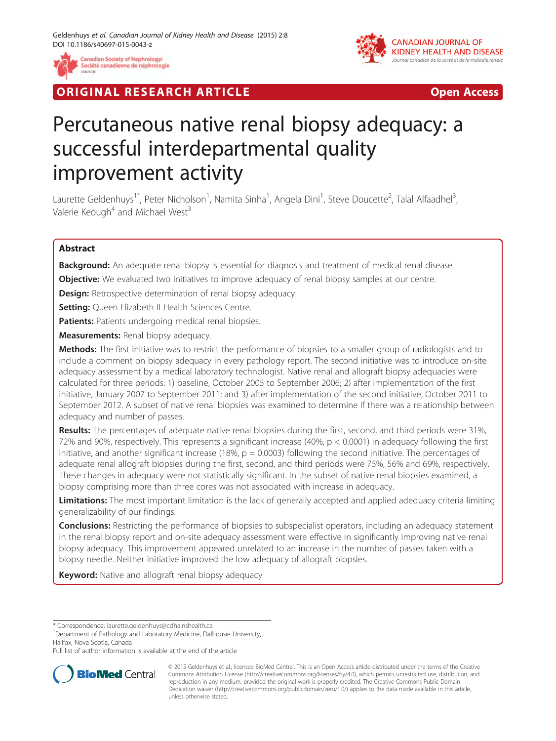

**RIGINAL RESEARCH ARTICLE CONSUMING ACCESS** 



# Percutaneous native renal biopsy adequacy: a successful interdepartmental quality improvement activity

Laurette Geldenhuys<sup>1\*</sup>, Peter Nicholson<sup>1</sup>, Namita Sinha<sup>1</sup>, Angela Dini<sup>1</sup>, Steve Doucette<sup>2</sup>, Talal Alfaadhel<sup>3</sup> , Valerie Keough<sup>4</sup> and Michael West<sup>3</sup>

# Abstract

Background: An adequate renal biopsy is essential for diagnosis and treatment of medical renal disease.

**Objective:** We evaluated two initiatives to improve adequacy of renal biopsy samples at our centre.

**Design:** Retrospective determination of renal biopsy adequacy.

**Setting:** Queen Elizabeth II Health Sciences Centre.

Patients: Patients undergoing medical renal biopsies.

**Measurements:** Renal biopsy adequacy.

**Methods:** The first initiative was to restrict the performance of biopsies to a smaller group of radiologists and to include a comment on biopsy adequacy in every pathology report. The second initiative was to introduce on-site adequacy assessment by a medical laboratory technologist. Native renal and allograft biopsy adequacies were calculated for three periods: 1) baseline, October 2005 to September 2006; 2) after implementation of the first initiative, January 2007 to September 2011; and 3) after implementation of the second initiative, October 2011 to September 2012. A subset of native renal biopsies was examined to determine if there was a relationship between adequacy and number of passes.

Results: The percentages of adequate native renal biopsies during the first, second, and third periods were 31%, 72% and 90%, respectively. This represents a significant increase (40%, p < 0.0001) in adequacy following the first initiative, and another significant increase (18%,  $p = 0.0003$ ) following the second initiative. The percentages of adequate renal allograft biopsies during the first, second, and third periods were 75%, 56% and 69%, respectively. These changes in adequacy were not statistically significant. In the subset of native renal biopsies examined, a biopsy comprising more than three cores was not associated with increase in adequacy.

Limitations: The most important limitation is the lack of generally accepted and applied adequacy criteria limiting generalizability of our findings.

**Conclusions:** Restricting the performance of biopsies to subspecialist operators, including an adequacy statement in the renal biopsy report and on-site adequacy assessment were effective in significantly improving native renal biopsy adequacy. This improvement appeared unrelated to an increase in the number of passes taken with a biopsy needle. Neither initiative improved the low adequacy of allograft biopsies.

**Keyword:** Native and allograft renal biopsy adequacy

<sup>1</sup>Department of Pathology and Laboratory Medicine, Dalhousie University, Halifax, Nova Scotia, Canada

Full list of author information is available at the end of the article



<sup>© 2015</sup> Geldenhuys et al.; licensee BioMed Central. This is an Open Access article distributed under the terms of the Creative Commons Attribution License [\(http://creativecommons.org/licenses/by/4.0\)](http://creativecommons.org/licenses/by/4.0), which permits unrestricted use, distribution, and reproduction in any medium, provided the original work is properly credited. The Creative Commons Public Domain Dedication waiver [\(http://creativecommons.org/publicdomain/zero/1.0/](http://creativecommons.org/publicdomain/zero/1.0/)) applies to the data made available in this article, unless otherwise stated.

<sup>\*</sup> Correspondence: [laurette.geldenhuys@cdha.nshealth.ca](mailto:laurette.geldenhuys@cdha.nshealth.ca) <sup>1</sup>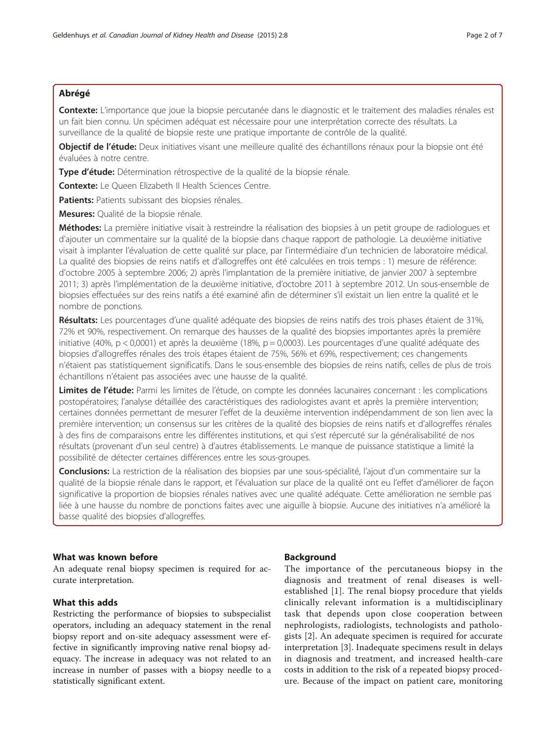# Abrégé

Contexte: L'importance que joue la biopsie percutanée dans le diagnostic et le traitement des maladies rénales est un fait bien connu. Un spécimen adéquat est nécessaire pour une interprétation correcte des résultats. La surveillance de la qualité de biopsie reste une pratique importante de contrôle de la qualité.

Objectif de l'étude: Deux initiatives visant une meilleure qualité des échantillons rénaux pour la biopsie ont été évaluées à notre centre.

Type d'étude: Détermination rétrospective de la qualité de la biopsie rénale.

**Contexte:** Le Queen Elizabeth II Health Sciences Centre.

Patients: Patients subissant des biopsies rénales.

Mesures: Qualité de la biopsie rénale.

Méthodes: La première initiative visait à restreindre la réalisation des biopsies à un petit groupe de radiologues et d'ajouter un commentaire sur la qualité de la biopsie dans chaque rapport de pathologie. La deuxième initiative visait à implanter l'évaluation de cette qualité sur place, par l'intermédiaire d'un technicien de laboratoire médical. La qualité des biopsies de reins natifs et d'allogreffes ont été calculées en trois temps : 1) mesure de référence: d'octobre 2005 à septembre 2006; 2) après l'implantation de la première initiative, de janvier 2007 à septembre 2011; 3) après l'implémentation de la deuxième initiative, d'octobre 2011 à septembre 2012. Un sous-ensemble de biopsies effectuées sur des reins natifs a été examiné afin de déterminer s'il existait un lien entre la qualité et le nombre de ponctions.

Résultats: Les pourcentages d'une qualité adéquate des biopsies de reins natifs des trois phases étaient de 31%, 72% et 90%, respectivement. On remarque des hausses de la qualité des biopsies importantes après la première initiative (40%, p < 0,0001) et après la deuxième (18%, p = 0,0003). Les pourcentages d'une qualité adéquate des biopsies d'allogreffes rénales des trois étapes étaient de 75%, 56% et 69%, respectivement; ces changements n'étaient pas statistiquement significatifs. Dans le sous-ensemble des biopsies de reins natifs, celles de plus de trois échantillons n'étaient pas associées avec une hausse de la qualité.

Limites de l'étude: Parmi les limites de l'étude, on compte les données lacunaires concernant : les complications postopératoires; l'analyse détaillée des caractéristiques des radiologistes avant et après la première intervention; certaines données permettant de mesurer l'effet de la deuxième intervention indépendamment de son lien avec la première intervention; un consensus sur les critères de la qualité des biopsies de reins natifs et d'allogreffes rénales à des fins de comparaisons entre les différentes institutions, et qui s'est répercuté sur la généralisabilité de nos résultats (provenant d'un seul centre) à d'autres établissements. Le manque de puissance statistique a limité la possibilité de détecter certaines différences entre les sous-groupes.

Conclusions: La restriction de la réalisation des biopsies par une sous-spécialité, l'ajout d'un commentaire sur la qualité de la biopsie rénale dans le rapport, et l'évaluation sur place de la qualité ont eu l'effet d'améliorer de façon significative la proportion de biopsies rénales natives avec une qualité adéquate. Cette amélioration ne semble pas liée à une hausse du nombre de ponctions faites avec une aiguille à biopsie. Aucune des initiatives n'a amélioré la basse qualité des biopsies d'allogreffes.

# What was known before

An adequate renal biopsy specimen is required for accurate interpretation.

# What this adds

Restricting the performance of biopsies to subspecialist operators, including an adequacy statement in the renal biopsy report and on-site adequacy assessment were effective in significantly improving native renal biopsy adequacy. The increase in adequacy was not related to an increase in number of passes with a biopsy needle to a statistically significant extent.

#### **Background**

The importance of the percutaneous biopsy in the diagnosis and treatment of renal diseases is wellestablished [\[1](#page-5-0)]. The renal biopsy procedure that yields clinically relevant information is a multidisciplinary task that depends upon close cooperation between nephrologists, radiologists, technologists and pathologists [[2\]](#page-5-0). An adequate specimen is required for accurate interpretation [\[3](#page-5-0)]. Inadequate specimens result in delays in diagnosis and treatment, and increased health-care costs in addition to the risk of a repeated biopsy procedure. Because of the impact on patient care, monitoring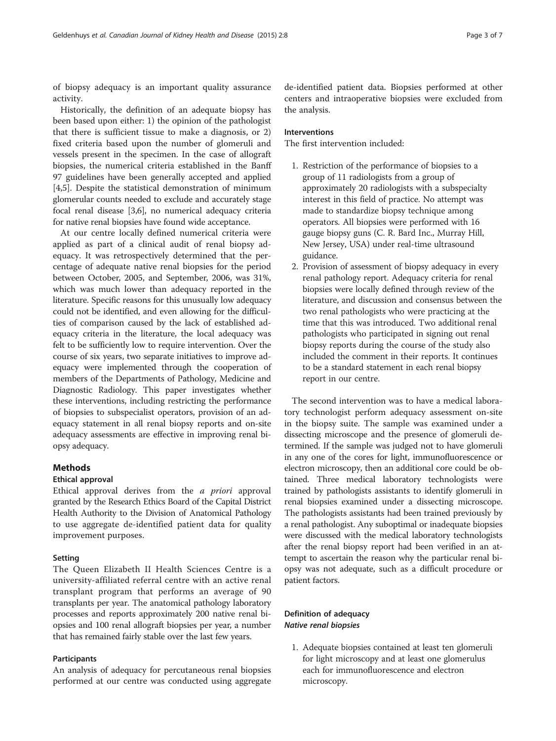of biopsy adequacy is an important quality assurance activity.

Historically, the definition of an adequate biopsy has been based upon either: 1) the opinion of the pathologist that there is sufficient tissue to make a diagnosis, or 2) fixed criteria based upon the number of glomeruli and vessels present in the specimen. In the case of allograft biopsies, the numerical criteria established in the Banff 97 guidelines have been generally accepted and applied [[4,5\]](#page-5-0). Despite the statistical demonstration of minimum glomerular counts needed to exclude and accurately stage focal renal disease [\[3,6\]](#page-5-0), no numerical adequacy criteria for native renal biopsies have found wide acceptance.

At our centre locally defined numerical criteria were applied as part of a clinical audit of renal biopsy adequacy. It was retrospectively determined that the percentage of adequate native renal biopsies for the period between October, 2005, and September, 2006, was 31%, which was much lower than adequacy reported in the literature. Specific reasons for this unusually low adequacy could not be identified, and even allowing for the difficulties of comparison caused by the lack of established adequacy criteria in the literature, the local adequacy was felt to be sufficiently low to require intervention. Over the course of six years, two separate initiatives to improve adequacy were implemented through the cooperation of members of the Departments of Pathology, Medicine and Diagnostic Radiology. This paper investigates whether these interventions, including restricting the performance of biopsies to subspecialist operators, provision of an adequacy statement in all renal biopsy reports and on-site adequacy assessments are effective in improving renal biopsy adequacy.

# Methods

#### Ethical approval

Ethical approval derives from the *a priori* approval granted by the Research Ethics Board of the Capital District Health Authority to the Division of Anatomical Pathology to use aggregate de-identified patient data for quality improvement purposes.

# Setting

The Queen Elizabeth II Health Sciences Centre is a university-affiliated referral centre with an active renal transplant program that performs an average of 90 transplants per year. The anatomical pathology laboratory processes and reports approximately 200 native renal biopsies and 100 renal allograft biopsies per year, a number that has remained fairly stable over the last few years.

## Participants

An analysis of adequacy for percutaneous renal biopsies performed at our centre was conducted using aggregate de-identified patient data. Biopsies performed at other centers and intraoperative biopsies were excluded from the analysis.

#### Interventions

The first intervention included:

- 1. Restriction of the performance of biopsies to a group of 11 radiologists from a group of approximately 20 radiologists with a subspecialty interest in this field of practice. No attempt was made to standardize biopsy technique among operators. All biopsies were performed with 16 gauge biopsy guns (C. R. Bard Inc., Murray Hill, New Jersey, USA) under real-time ultrasound guidance.
- 2. Provision of assessment of biopsy adequacy in every renal pathology report. Adequacy criteria for renal biopsies were locally defined through review of the literature, and discussion and consensus between the two renal pathologists who were practicing at the time that this was introduced. Two additional renal pathologists who participated in signing out renal biopsy reports during the course of the study also included the comment in their reports. It continues to be a standard statement in each renal biopsy report in our centre.

The second intervention was to have a medical laboratory technologist perform adequacy assessment on-site in the biopsy suite. The sample was examined under a dissecting microscope and the presence of glomeruli determined. If the sample was judged not to have glomeruli in any one of the cores for light, immunofluorescence or electron microscopy, then an additional core could be obtained. Three medical laboratory technologists were trained by pathologists assistants to identify glomeruli in renal biopsies examined under a dissecting microscope. The pathologists assistants had been trained previously by a renal pathologist. Any suboptimal or inadequate biopsies were discussed with the medical laboratory technologists after the renal biopsy report had been verified in an attempt to ascertain the reason why the particular renal biopsy was not adequate, such as a difficult procedure or patient factors.

# Definition of adequacy Native renal biopsies

1. Adequate biopsies contained at least ten glomeruli for light microscopy and at least one glomerulus each for immunofluorescence and electron microscopy.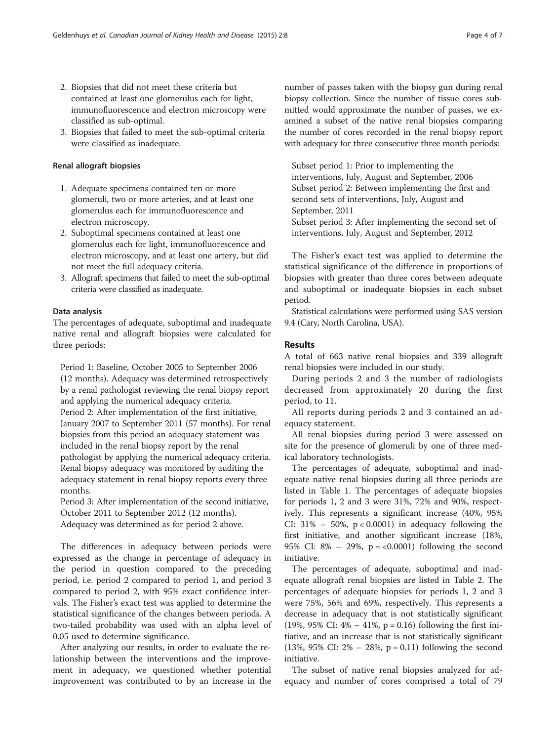- 2. Biopsies that did not meet these criteria but contained at least one glomerulus each for light, immunofluorescence and electron microscopy were classified as sub-optimal.
- 3. Biopsies that failed to meet the sub-optimal criteria were classified as inadequate.

#### Renal allograft biopsies

- 1. Adequate specimens contained ten or more glomeruli, two or more arteries, and at least one glomerulus each for immunofluorescence and electron microscopy.
- 2. Suboptimal specimens contained at least one glomerulus each for light, immunofluorescence and electron microscopy, and at least one artery, but did not meet the full adequacy criteria.
- 3. Allograft specimens that failed to meet the sub-optimal criteria were classified as inadequate.

### Data analysis

The percentages of adequate, suboptimal and inadequate native renal and allograft biopsies were calculated for three periods:

Period 1: Baseline, October 2005 to September 2006 (12 months). Adequacy was determined retrospectively by a renal pathologist reviewing the renal biopsy report and applying the numerical adequacy criteria. Period 2: After implementation of the first initiative, January 2007 to September 2011 (57 months). For renal biopsies from this period an adequacy statement was included in the renal biopsy report by the renal pathologist by applying the numerical adequacy criteria. Renal biopsy adequacy was monitored by auditing the adequacy statement in renal biopsy reports every three months.

Period 3: After implementation of the second initiative, October 2011 to September 2012 (12 months). Adequacy was determined as for period 2 above.

The differences in adequacy between periods were expressed as the change in percentage of adequacy in the period in question compared to the preceding period, i.e. period 2 compared to period 1, and period 3 compared to period 2, with 95% exact confidence intervals. The Fisher's exact test was applied to determine the statistical significance of the changes between periods. A two-tailed probability was used with an alpha level of 0.05 used to determine significance.

After analyzing our results, in order to evaluate the relationship between the interventions and the improvement in adequacy, we questioned whether potential improvement was contributed to by an increase in the number of passes taken with the biopsy gun during renal biopsy collection. Since the number of tissue cores submitted would approximate the number of passes, we examined a subset of the native renal biopsies comparing the number of cores recorded in the renal biopsy report with adequacy for three consecutive three month periods:

Subset period 1: Prior to implementing the interventions, July, August and September, 2006 Subset period 2: Between implementing the first and second sets of interventions, July, August and September, 2011 Subset period 3: After implementing the second set of interventions, July, August and September, 2012

The Fisher's exact test was applied to determine the statistical significance of the difference in proportions of biopsies with greater than three cores between adequate and suboptimal or inadequate biopsies in each subset period.

Statistical calculations were performed using SAS version 9.4 (Cary, North Carolina, USA).

# Results

A total of 663 native renal biopsies and 339 allograft renal biopsies were included in our study.

During periods 2 and 3 the number of radiologists decreased from approximately 20 during the first period, to 11.

All reports during periods 2 and 3 contained an adequacy statement.

All renal biopsies during period 3 were assessed on site for the presence of glomeruli by one of three medical laboratory technologists.

The percentages of adequate, suboptimal and inadequate native renal biopsies during all three periods are listed in Table [1](#page-4-0). The percentages of adequate biopsies for periods 1, 2 and 3 were 31%, 72% and 90%, respectively. This represents a significant increase (40%, 95% CI:  $31\% - 50\%$ ,  $p < 0.0001$ ) in adequacy following the first initiative, and another significant increase (18%, 95% CI: 8% – 29%, p = <0.0001) following the second initiative.

The percentages of adequate, suboptimal and inadequate allograft renal biopsies are listed in Table [2.](#page-4-0) The percentages of adequate biopsies for periods 1, 2 and 3 were 75%, 56% and 69%, respectively. This represents a decrease in adequacy that is not statistically significant (19%, 95% CI: 4% – 41%,  $p = 0.16$ ) following the first initiative, and an increase that is not statistically significant (13%, 95% CI: 2% – 28%,  $p = 0.11$ ) following the second initiative.

The subset of native renal biopsies analyzed for adequacy and number of cores comprised a total of 79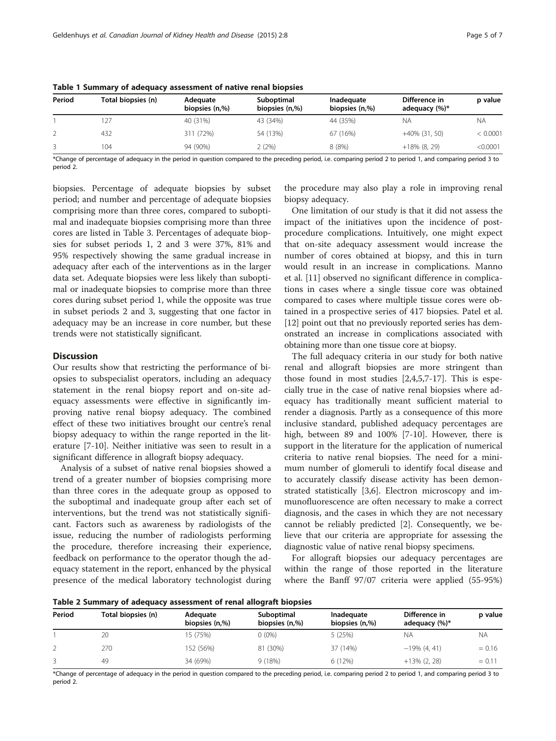| Period | Total biopsies (n) | Adeauate<br>biopsies (n,%) | Suboptimal<br>biopsies (n,%) | Inadequate<br>biopsies (n,%) | Difference in<br>adequacy $(%)^*$ | p value   |
|--------|--------------------|----------------------------|------------------------------|------------------------------|-----------------------------------|-----------|
|        | 27                 | 40 (31%)                   | 43 (34%)                     | 44 (35%)                     | <b>NA</b>                         | <b>NA</b> |
|        | 432                | 311 (72%)                  | 54 (13%)                     | 67 (16%)                     | $+40\%$ (31, 50)                  | < 0.0001  |
|        | 104                | 94 (90%)                   | 2 (2%)                       | 8(8%)                        | $+18\%$ (8, 29)                   | < 0.0001  |

<span id="page-4-0"></span>Table 1 Summary of adequacy assessment of native renal biopsies

\*Change of percentage of adequacy in the period in question compared to the preceding period, i.e. comparing period 2 to period 1, and comparing period 3 to period 2.

biopsies. Percentage of adequate biopsies by subset period; and number and percentage of adequate biopsies comprising more than three cores, compared to suboptimal and inadequate biopsies comprising more than three cores are listed in Table [3](#page-5-0). Percentages of adequate biopsies for subset periods 1, 2 and 3 were 37%, 81% and 95% respectively showing the same gradual increase in adequacy after each of the interventions as in the larger data set. Adequate biopsies were less likely than suboptimal or inadequate biopsies to comprise more than three cores during subset period 1, while the opposite was true in subset periods 2 and 3, suggesting that one factor in adequacy may be an increase in core number, but these trends were not statistically significant.

## **Discussion**

Our results show that restricting the performance of biopsies to subspecialist operators, including an adequacy statement in the renal biopsy report and on-site adequacy assessments were effective in significantly improving native renal biopsy adequacy. The combined effect of these two initiatives brought our centre's renal biopsy adequacy to within the range reported in the literature [[7-](#page-5-0)[10](#page-6-0)]. Neither initiative was seen to result in a significant difference in allograft biopsy adequacy.

Analysis of a subset of native renal biopsies showed a trend of a greater number of biopsies comprising more than three cores in the adequate group as opposed to the suboptimal and inadequate group after each set of interventions, but the trend was not statistically significant. Factors such as awareness by radiologists of the issue, reducing the number of radiologists performing the procedure, therefore increasing their experience, feedback on performance to the operator though the adequacy statement in the report, enhanced by the physical presence of the medical laboratory technologist during

the procedure may also play a role in improving renal biopsy adequacy.

One limitation of our study is that it did not assess the impact of the initiatives upon the incidence of postprocedure complications. Intuitively, one might expect that on-site adequacy assessment would increase the number of cores obtained at biopsy, and this in turn would result in an increase in complications. Manno et al. [\[11](#page-6-0)] observed no significant difference in complications in cases where a single tissue core was obtained compared to cases where multiple tissue cores were obtained in a prospective series of 417 biopsies. Patel et al. [[12](#page-6-0)] point out that no previously reported series has demonstrated an increase in complications associated with obtaining more than one tissue core at biopsy.

The full adequacy criteria in our study for both native renal and allograft biopsies are more stringent than those found in most studies [[2,4,5,7](#page-5-0)[-17](#page-6-0)]. This is especially true in the case of native renal biopsies where adequacy has traditionally meant sufficient material to render a diagnosis. Partly as a consequence of this more inclusive standard, published adequacy percentages are high, between 89 and 100% [\[7-](#page-5-0)[10](#page-6-0)]. However, there is support in the literature for the application of numerical criteria to native renal biopsies. The need for a minimum number of glomeruli to identify focal disease and to accurately classify disease activity has been demonstrated statistically [[3,6\]](#page-5-0). Electron microscopy and immunofluorescence are often necessary to make a correct diagnosis, and the cases in which they are not necessary cannot be reliably predicted [[2\]](#page-5-0). Consequently, we believe that our criteria are appropriate for assessing the diagnostic value of native renal biopsy specimens.

For allograft biopsies our adequacy percentages are within the range of those reported in the literature where the Banff 97/07 criteria were applied (55-95%)

Table 2 Summary of adequacy assessment of renal allograft biopsies

| Period | Total biopsies (n) | Adequate<br>biopsies (n,%) | Suboptimal<br>biopsies (n,%) | Inadequate<br>biopsies (n,%) | Difference in<br>adequacy $(\%)^*$ | p value   |  |
|--------|--------------------|----------------------------|------------------------------|------------------------------|------------------------------------|-----------|--|
|        | 20                 | 15 (75%)                   | 0 (0%)                       | 5(25%)                       | <b>NA</b>                          | <b>NA</b> |  |
|        | 270                | 152 (56%)                  | 81 (30%)                     | 37 (14%)                     | $-19\%$ (4, 41)                    | $= 0.16$  |  |
|        | 49                 | 34 (69%)                   | 9 (18%)                      | 6 (12%)                      | $+13\%$ (2, 28)                    | $= 0.11$  |  |

\*Change of percentage of adequacy in the period in question compared to the preceding period, i.e. comparing period 2 to period 1, and comparing period 3 to period 2.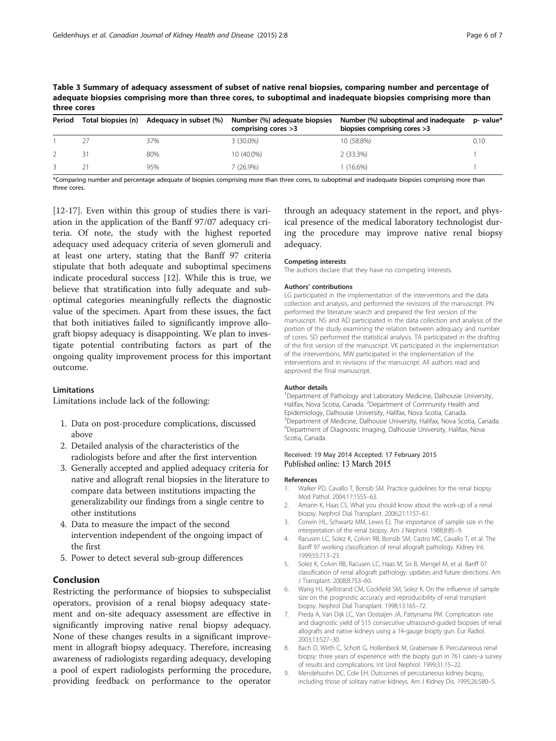| unee cores |                    |                        |                                                     |                                                                      |           |  |  |
|------------|--------------------|------------------------|-----------------------------------------------------|----------------------------------------------------------------------|-----------|--|--|
| Period     | Total biopsies (n) | Adequacy in subset (%) | Number (%) adequate biopsies<br>comprising cores >3 | Number (%) suboptimal and inadequate<br>biopsies comprising cores >3 | p- value* |  |  |
|            |                    | 37%                    | $3(30.0\%)$                                         | 10 (58.8%)                                                           | 0.10      |  |  |
|            |                    | 80%                    | 10 (40.0%)                                          | 2(33.3%)                                                             |           |  |  |
|            |                    | 95%                    | 7 (26.9%)                                           | $(16.6\%)$                                                           |           |  |  |

<span id="page-5-0"></span>Table 3 Summary of adequacy assessment of subset of native renal biopsies, comparing number and percentage of adequate biopsies comprising more than three cores, to suboptimal and inadequate biopsies comprising more than three cores

\*Comparing number and percentage adequate of biopsies comprising more than three cores, to suboptimal and inadequate biopsies comprising more than three cores.

[[12-17](#page-6-0)]. Even within this group of studies there is variation in the application of the Banff 97/07 adequacy criteria. Of note, the study with the highest reported adequacy used adequacy criteria of seven glomeruli and at least one artery, stating that the Banff 97 criteria stipulate that both adequate and suboptimal specimens indicate procedural success [\[12](#page-6-0)]. While this is true, we believe that stratification into fully adequate and suboptimal categories meaningfully reflects the diagnostic value of the specimen. Apart from these issues, the fact that both initiatives failed to significantly improve allograft biopsy adequacy is disappointing. We plan to investigate potential contributing factors as part of the ongoing quality improvement process for this important outcome.

#### **Limitations**

Limitations include lack of the following:

- 1. Data on post-procedure complications, discussed above
- 2. Detailed analysis of the characteristics of the radiologists before and after the first intervention
- 3. Generally accepted and applied adequacy criteria for native and allograft renal biopsies in the literature to compare data between institutions impacting the generalizability our findings from a single centre to other institutions
- 4. Data to measure the impact of the second intervention independent of the ongoing impact of the first
- 5. Power to detect several sub-group differences

# Conclusion

Restricting the performance of biopsies to subspecialist operators, provision of a renal biopsy adequacy statement and on-site adequacy assessment are effective in significantly improving native renal biopsy adequacy. None of these changes results in a significant improvement in allograft biopsy adequacy. Therefore, increasing awareness of radiologists regarding adequacy, developing a pool of expert radiologists performing the procedure, providing feedback on performance to the operator

through an adequacy statement in the report, and physical presence of the medical laboratory technologist during the procedure may improve native renal biopsy adequacy.

#### Competing interests

The authors declare that they have no competing interests.

#### Authors' contributions

LG participated in the implementation of the interventions and the data collection and analysis, and performed the revisions of the manuscript. PN performed the literature search and prepared the first version of the manuscript. NS and AD participated in the data collection and analysis of the portion of the study examining the relation between adequacy and number of cores. SD performed the statistical analysis. TA participated in the drafting of the first version of the manuscript. VK participated in the implementation of the interventions. MW participated in the implementation of the interventions and in revisions of the manuscript. All authors read and approved the final manuscript.

#### Author details

<sup>1</sup> Department of Pathology and Laboratory Medicine, Dalhousie University, Halifax, Nova Scotia, Canada. <sup>2</sup> Department of Community Health and Epidemiology, Dalhousie University, Halifax, Nova Scotia, Canada. <sup>3</sup>Department of Medicine, Dalhousie University, Halifax, Nova Scotia, Canada 4 Department of Diagnostic Imaging, Dalhousie University, Halifax, Nova Scotia, Canada.

#### Received: 19 May 2014 Accepted: 17 February 2015 Published online: 13 March 2015

#### References

- 1. Walker PD, Cavallo T, Bonsib SM. Practice guidelines for the renal biopsy. Mod Pathol. 2004;17:1555–63.
- 2. Amann K, Haas CS. What you should know about the work-up of a renal biopsy. Nephrol Dial Transplant. 2006;21:1157–61.
- 3. Corwin HL, Schwartz MM, Lewis EJ. The importance of sample size in the interpretation of the renal biopsy. Am J Nephrol. 1988;8:85–9.
- 4. Racusen LC, Solez K, Colvin RB, Bonsib SM, Castro MC, Cavallo T, et al. The Banff 97 working classification of renal allograft pathology. Kidney Int. 1999;55:713–23.
- 5. Solez K, Colvin RB, Racusen LC, Haas M, Sis B, Mengel M, et al. Banff 07 classification of renal allograft pathology: updates and future directions. Am J Transplant. 2008;8:753–60.
- 6. Wang HJ, Kjellstrand CM, Cockfield SM, Solez K. On the influence of sample size on the prognostic accuracy and reproducibility of renal transplant biopsy. Nephrol Dial Transplant. 1998;13:165–72.
- 7. Preda A, Van Dijk LC, Van Oostaijen JA, Pattynama PM. Complication rate and diagnostic yield of 515 consecutive ultrasound-guided biopsies of renal allografts and native kidneys using a 14-gauge biopty gun. Eur Radiol. 2003;13:527–30.
- 8. Bach D, Wirth C, Schott G, Hollenbeck M, Grabensee B. Percutaneous renal biopsy: three years of experience with the biopty gun in 761 cases–a survey of results and complications. Int Urol Nephrol. 1999;31:15–22.
- 9. Mendelssohn DC, Cole EH. Outcomes of percutaneous kidney biopsy, including those of solitary native kidneys. Am J Kidney Dis. 1995;26:580–5.